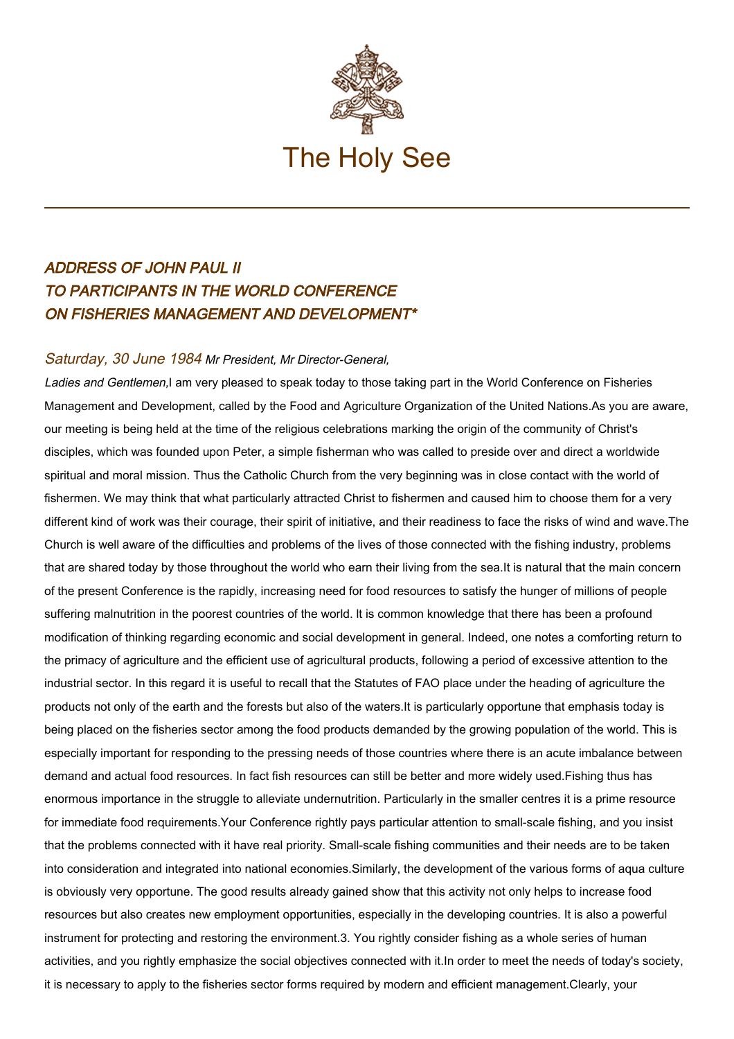

## ADDRESS OF JOHN PAUL II TO PARTICIPANTS IN THE WORLD CONFERENCE ON FISHERIES MANAGEMENT AND DEVELOPMENT\*

## Saturday, 30 June 1984 Mr President, Mr Director-General,

Ladies and Gentlemen, I am very pleased to speak today to those taking part in the World Conference on Fisheries Management and Development, called by the Food and Agriculture Organization of the United Nations.As you are aware, our meeting is being held at the time of the religious celebrations marking the origin of the community of Christ's disciples, which was founded upon Peter, a simple fisherman who was called to preside over and direct a worldwide spiritual and moral mission. Thus the Catholic Church from the very beginning was in close contact with the world of fishermen. We may think that what particularly attracted Christ to fishermen and caused him to choose them for a very different kind of work was their courage, their spirit of initiative, and their readiness to face the risks of wind and wave.The Church is well aware of the difficulties and problems of the lives of those connected with the fishing industry, problems that are shared today by those throughout the world who earn their living from the sea.It is natural that the main concern of the present Conference is the rapidly, increasing need for food resources to satisfy the hunger of millions of people suffering malnutrition in the poorest countries of the world. lt is common knowledge that there has been a profound modification of thinking regarding economic and social development in general. Indeed, one notes a comforting return to the primacy of agriculture and the efficient use of agricultural products, following a period of excessive attention to the industrial sector. In this regard it is useful to recall that the Statutes of FAO place under the heading of agriculture the products not only of the earth and the forests but also of the waters.It is particularly opportune that emphasis today is being placed on the fisheries sector among the food products demanded by the growing population of the world. This is especially important for responding to the pressing needs of those countries where there is an acute imbalance between demand and actual food resources. In fact fish resources can still be better and more widely used.Fishing thus has enormous importance in the struggle to alleviate undernutrition. Particularly in the smaller centres it is a prime resource for immediate food requirements.Your Conference rightly pays particular attention to small-scale fishing, and you insist that the problems connected with it have real priority. Small-scale fishing communities and their needs are to be taken into consideration and integrated into national economies.Similarly, the development of the various forms of aqua culture is obviously very opportune. The good results already gained show that this activity not only helps to increase food resources but also creates new employment opportunities, especially in the developing countries. It is also a powerful instrument for protecting and restoring the environment.3. You rightly consider fishing as a whole series of human activities, and you rightly emphasize the social objectives connected with it.In order to meet the needs of today's society, it is necessary to apply to the fisheries sector forms required by modern and efficient management.Clearly, your